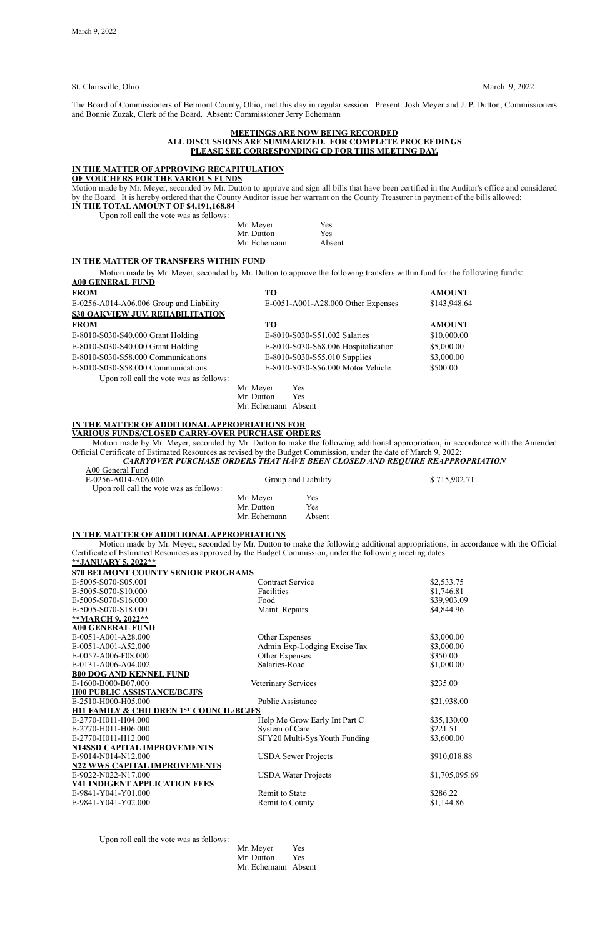St. Clairsville, Ohio March 9, 2022

The Board of Commissioners of Belmont County, Ohio, met this day in regular session. Present: Josh Meyer and J. P. Dutton, Commissioners and Bonnie Zuzak, Clerk of the Board. Absent: Commissioner Jerry Echemann

### **MEETINGS ARE NOW BEING RECORDED ALL DISCUSSIONS ARE SUMMARIZED. FOR COMPLETE PROCEEDINGS PLEASE SEE CORRESPONDING CD FOR THIS MEETING DAY.**

## **IN THE MATTER OF APPROVING RECAPITULATION**

**OF VOUCHERS FOR THE VARIOUS FUNDS**

Motion made by Mr. Meyer, seconded by Mr. Dutton to approve and sign all bills that have been certified in the Auditor's office and considered by the Board*.* It is hereby ordered that the County Auditor issue her warrant on the County Treasurer in payment of the bills allowed: **IN THE TOTAL AMOUNT OF \$4,191,168.84** 

Upon roll call the vote was as follows:

| was as tuttuws. |           |
|-----------------|-----------|
|                 | Mr. Meyer |
|                 |           |

| Mr. Meyer    | Yes    |
|--------------|--------|
| Mr. Dutton   | Yes    |
| Mr. Echemann | Absent |

#### **IN THE MATTER OF TRANSFERS WITHIN FUND**

*CARRYOVER PURCHASE ORDERS THAT HAVE BEEN CLOSED AND REQUIRE REAPPROPRIATION*  $\overline{A}$ 

Motion made by Mr. Meyer, seconded by Mr. Dutton to approve the following transfers within fund for the following funds: **A00 GENERAL FUND**

| <b>FROM</b>                             | TО        |                                     | <b>AMOUNT</b> |
|-----------------------------------------|-----------|-------------------------------------|---------------|
| E-0256-A014-A06.006 Group and Liability |           | E-0051-A001-A28.000 Other Expenses  | \$143,948.64  |
| <b>S30 OAKVIEW JUV. REHABILITATION</b>  |           |                                     |               |
| <b>FROM</b>                             | TO.       |                                     | <b>AMOUNT</b> |
| E-8010-S030-S40.000 Grant Holding       |           | E-8010-S030-S51.002 Salaries        | \$10,000.00   |
| E-8010-S030-S40.000 Grant Holding       |           | E-8010-S030-S68.006 Hospitalization | \$5,000.00    |
| E-8010-S030-S58.000 Communications      |           | E-8010-S030-S55.010 Supplies        | \$3,000.00    |
| E-8010-S030-S58.000 Communications      |           | E-8010-S030-S56.000 Motor Vehicle   | \$500.00      |
| Upon roll call the vote was as follows: |           |                                     |               |
|                                         | Mr. Meyer | Yes                                 |               |
|                                         | Mr Dutton | $V_{\mathsf{AC}}$                   |               |

Mr. Dutton Yes Mr. Echemann Absent

#### **IN THE MATTER OF ADDITIONAL APPROPRIATIONS FOR VARIOUS FUNDS/CLOSED CARRY-OVER PURCHASE ORDERS**

Motion made by Mr. Meyer, seconded by Mr. Dutton to make the following additional appropriation, in accordance with the Amended Official Certificate of Estimated Resources as revised by the Budget Commission, under the date of March 9, 2022:

| AUU General Fund<br>E-0256-A014-A06.006<br>Upon roll call the vote was as follows: |              | Group and Liability | \$715,902.71 |
|------------------------------------------------------------------------------------|--------------|---------------------|--------------|
|                                                                                    | Mr. Meyer    | Yes                 |              |
|                                                                                    | Mr. Dutton   | Yes                 |              |
|                                                                                    | Mr. Echemann | Absent              |              |

#### **IN THE MATTER OF ADDITIONAL APPROPRIATIONS**

Motion made by Mr. Meyer, seconded by Mr. Dutton to make the following additional appropriations, in accordance with the Official Certificate of Estimated Resources as approved by the Budget Commission, under the following meeting dates:

| **JANUARY 5, 2022**                       | Certificate of Estimated Resources as approved by the Budget Commission, under the following incernig dates. |             |
|-------------------------------------------|--------------------------------------------------------------------------------------------------------------|-------------|
| <b>S70 BELMONT COUNTY SENIOR PROGRAMS</b> |                                                                                                              |             |
| E-5005-S070-S05.001                       | <b>Contract Service</b>                                                                                      | \$2,533.75  |
| E-5005-S070-S10.000                       | Facilities                                                                                                   | \$1,746.81  |
| E-5005-S070-S16.000                       | Food                                                                                                         | \$39,903.09 |
| E-5005-S070-S18.000                       | Maint. Repairs                                                                                               | \$4,844.96  |
| **MARCH 9, 2022**                         |                                                                                                              |             |
| <b>A00 GENERAL FUND</b>                   |                                                                                                              |             |
| E-0051-A001-A28.000                       | Other Expenses                                                                                               | \$3,000.00  |
| E-0051-A001-A52.000                       | Admin Exp-Lodging Excise Tax                                                                                 | \$3,000.00  |
| E-0057-A006-F08.000                       | Other Expenses                                                                                               | \$350.00    |
| E-0131-A006-A04.002                       | Salaries-Road                                                                                                | \$1,000.00  |
| <b>B00 DOG AND KENNEL FUND</b>            |                                                                                                              |             |
| E-1600-B000-B07.000                       | Veterinary Services                                                                                          | \$235.00    |

#### **H00 PUBLIC ASSISTANCE/BCJFS**

| E-2510-H000-H05.000                                | <b>Public Assistance</b>      | \$21,938.00    |
|----------------------------------------------------|-------------------------------|----------------|
| <b>H11 FAMILY &amp; CHILDREN 1ST COUNCIL/BCJFS</b> |                               |                |
| E-2770-H011-H04.000                                | Help Me Grow Early Int Part C | \$35,130.00    |
| E-2770-H011-H06.000                                | System of Care                | \$221.51       |
| E-2770-H011-H12.000                                | SFY20 Multi-Sys Youth Funding | \$3,600.00     |
| <b>N14SSD CAPITAL IMPROVEMENTS</b>                 |                               |                |
| E-9014-N014-N12.000                                | <b>USDA</b> Sewer Projects    | \$910,018.88   |
| <b>N22 WWS CAPITAL IMPROVEMENTS</b>                |                               |                |
| E-9022-N022-N17.000                                | <b>USDA Water Projects</b>    | \$1,705,095.69 |
| <b>Y41 INDIGENT APPLICATION FEES</b>               |                               |                |
| E-9841-Y041-Y01.000                                | <b>Remit to State</b>         | \$286.22       |
| E-9841-Y041-Y02.000                                | Remit to County               | \$1,144.86     |

Upon roll call the vote was as follows:

Mr. Meyer Yes Mr. Dutton Yes Mr. Echemann Absent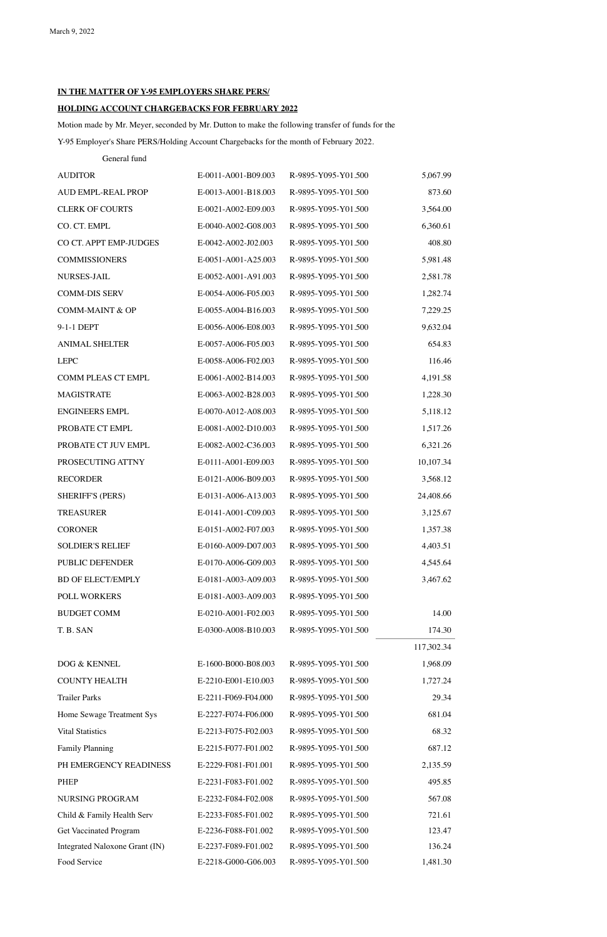# **IN THE MATTER OF Y-95 EMPLOYERS SHARE PERS/**

# **HOLDING ACCOUNT CHARGEBACKS FOR FEBRUARY 2022**

Motion made by Mr. Meyer, seconded by Mr. Dutton to make the following transfer of funds for the Y-95 Employer's Share PERS/Holding Account Chargebacks for the month of February 2022.

General fund

| <b>AUDITOR</b>                 | E-0011-A001-B09.003 | R-9895-Y095-Y01.500 | 5,067.99   |
|--------------------------------|---------------------|---------------------|------------|
| AUD EMPL-REAL PROP             | E-0013-A001-B18.003 | R-9895-Y095-Y01.500 | 873.60     |
| <b>CLERK OF COURTS</b>         | E-0021-A002-E09.003 | R-9895-Y095-Y01.500 | 3,564.00   |
| CO. CT. EMPL                   | E-0040-A002-G08.003 | R-9895-Y095-Y01.500 | 6,360.61   |
| CO CT. APPT EMP-JUDGES         | E-0042-A002-J02.003 | R-9895-Y095-Y01.500 | 408.80     |
| <b>COMMISSIONERS</b>           | E-0051-A001-A25.003 | R-9895-Y095-Y01.500 | 5,981.48   |
| <b>NURSES-JAIL</b>             | E-0052-A001-A91.003 | R-9895-Y095-Y01.500 | 2,581.78   |
| <b>COMM-DIS SERV</b>           | E-0054-A006-F05.003 | R-9895-Y095-Y01.500 | 1,282.74   |
| <b>COMM-MAINT &amp; OP</b>     | E-0055-A004-B16.003 | R-9895-Y095-Y01.500 | 7,229.25   |
| 9-1-1 DEPT                     | E-0056-A006-E08.003 | R-9895-Y095-Y01.500 | 9,632.04   |
| <b>ANIMAL SHELTER</b>          | E-0057-A006-F05.003 | R-9895-Y095-Y01.500 | 654.83     |
| <b>LEPC</b>                    | E-0058-A006-F02.003 | R-9895-Y095-Y01.500 | 116.46     |
| <b>COMM PLEAS CT EMPL</b>      | E-0061-A002-B14.003 | R-9895-Y095-Y01.500 | 4,191.58   |
| <b>MAGISTRATE</b>              | E-0063-A002-B28.003 | R-9895-Y095-Y01.500 | 1,228.30   |
| <b>ENGINEERS EMPL</b>          | E-0070-A012-A08.003 | R-9895-Y095-Y01.500 | 5,118.12   |
| PROBATE CT EMPL                | E-0081-A002-D10.003 | R-9895-Y095-Y01.500 | 1,517.26   |
| PROBATE CT JUV EMPL            | E-0082-A002-C36.003 | R-9895-Y095-Y01.500 | 6,321.26   |
| PROSECUTING ATTNY              | E-0111-A001-E09.003 | R-9895-Y095-Y01.500 | 10,107.34  |
| <b>RECORDER</b>                | E-0121-A006-B09.003 | R-9895-Y095-Y01.500 | 3,568.12   |
| <b>SHERIFF'S (PERS)</b>        | E-0131-A006-A13.003 | R-9895-Y095-Y01.500 | 24,408.66  |
| <b>TREASURER</b>               | E-0141-A001-C09.003 | R-9895-Y095-Y01.500 | 3,125.67   |
| <b>CORONER</b>                 | E-0151-A002-F07.003 | R-9895-Y095-Y01.500 | 1,357.38   |
| <b>SOLDIER'S RELIEF</b>        | E-0160-A009-D07.003 | R-9895-Y095-Y01.500 | 4,403.51   |
| PUBLIC DEFENDER                | E-0170-A006-G09.003 | R-9895-Y095-Y01.500 | 4,545.64   |
| <b>BD OF ELECT/EMPLY</b>       | E-0181-A003-A09.003 | R-9895-Y095-Y01.500 | 3,467.62   |
| POLL WORKERS                   | E-0181-A003-A09.003 | R-9895-Y095-Y01.500 |            |
| <b>BUDGET COMM</b>             | E-0210-A001-F02.003 | R-9895-Y095-Y01.500 | 14.00      |
| T.B. SAN                       | E-0300-A008-B10.003 | R-9895-Y095-Y01.500 | 174.30     |
|                                |                     |                     | 117,302.34 |
| DOG & KENNEL                   | E-1600-B000-B08.003 | R-9895-Y095-Y01.500 | 1,968.09   |
| <b>COUNTY HEALTH</b>           | E-2210-E001-E10.003 | R-9895-Y095-Y01.500 | 1,727.24   |
| <b>Trailer Parks</b>           | E-2211-F069-F04.000 | R-9895-Y095-Y01.500 | 29.34      |
| Home Sewage Treatment Sys      | E-2227-F074-F06.000 | R-9895-Y095-Y01.500 | 681.04     |
| <b>Vital Statistics</b>        | E-2213-F075-F02.003 | R-9895-Y095-Y01.500 | 68.32      |
| <b>Family Planning</b>         | E-2215-F077-F01.002 | R-9895-Y095-Y01.500 | 687.12     |
| PH EMERGENCY READINESS         | E-2229-F081-F01.001 | R-9895-Y095-Y01.500 | 2,135.59   |
| <b>PHEP</b>                    | E-2231-F083-F01.002 | R-9895-Y095-Y01.500 | 495.85     |
| <b>NURSING PROGRAM</b>         | E-2232-F084-F02.008 | R-9895-Y095-Y01.500 | 567.08     |
| Child & Family Health Serv     | E-2233-F085-F01.002 | R-9895-Y095-Y01.500 | 721.61     |
| Get Vaccinated Program         | E-2236-F088-F01.002 | R-9895-Y095-Y01.500 | 123.47     |
| Integrated Naloxone Grant (IN) | E-2237-F089-F01.002 | R-9895-Y095-Y01.500 | 136.24     |
| Food Service                   | E-2218-G000-G06.003 | R-9895-Y095-Y01.500 | 1,481.30   |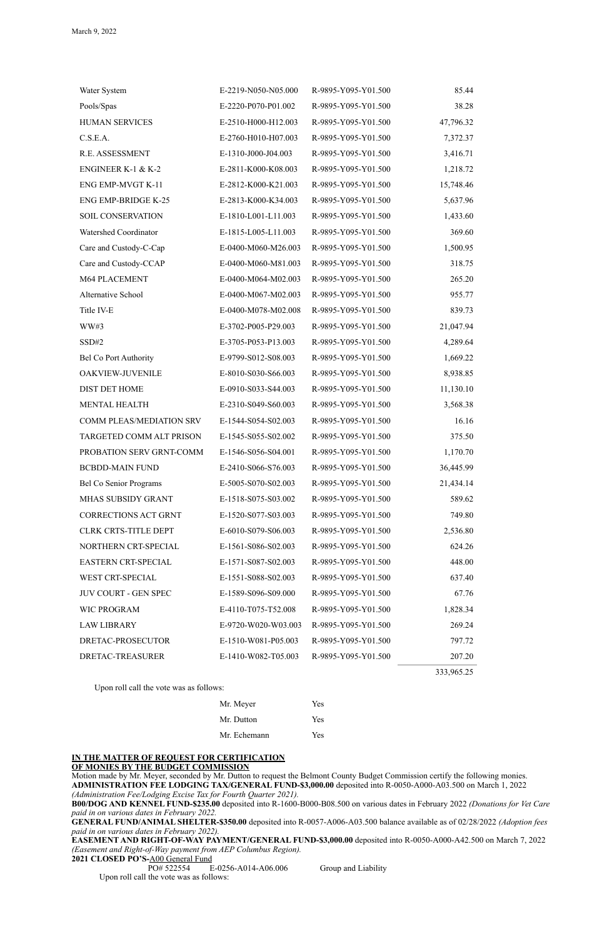## **IN THE MATTER OF REQUEST FOR CERTIFICATION OF MONIES BY THE BUDGET COMMISSION**

Motion made by Mr. Meyer, seconded by Mr. Dutton to request the Belmont County Budget Commission certify the following monies. **ADMINISTRATION FEE LODGING TAX/GENERAL FUND-\$3,000.00** deposited into R-0050-A000-A03.500 on March 1, 2022 *(Administration Fee/Lodging Excise Tax for Fourth Quarter 2021).*

**B00/DOG AND KENNEL FUND-\$235.00** deposited into R-1600-B000-B08.500 on various dates in February 2022 *(Donations for Vet Care paid in on various dates in February 2022.*

**GENERAL FUND/ANIMAL SHELTER-\$350.00** deposited into R-0057-A006-A03.500 balance available as of 02/28/2022 *(Adoption fees paid in on various dates in February 2022).*

**EASEMENT AND RIGHT-OF-WAY PAYMENT/GENERAL FUND-\$3,000.00** deposited into R-0050-A000-A42.500 on March 7, 2022 *(Easement and Right-of-Way payment from AEP Columbus Region).*

**2021 CLOSED PO'S-**A00 General Fund

PO# 522554 E-0256-A014-A06.006 Group and Liability

Upon roll call the vote was as follows:

| Water System                  | E-2219-N050-N05.000 | R-9895-Y095-Y01.500 | 85.44     |
|-------------------------------|---------------------|---------------------|-----------|
| Pools/Spas                    | E-2220-P070-P01.002 | R-9895-Y095-Y01.500 | 38.28     |
| <b>HUMAN SERVICES</b>         | E-2510-H000-H12.003 | R-9895-Y095-Y01.500 | 47,796.32 |
| C.S.E.A.                      | E-2760-H010-H07.003 | R-9895-Y095-Y01.500 | 7,372.37  |
| R.E. ASSESSMENT               | E-1310-J000-J04.003 | R-9895-Y095-Y01.500 | 3,416.71  |
| <b>ENGINEER K-1 &amp; K-2</b> | E-2811-K000-K08.003 | R-9895-Y095-Y01.500 | 1,218.72  |
| ENG EMP-MVGT K-11             | E-2812-K000-K21.003 | R-9895-Y095-Y01.500 | 15,748.46 |
| <b>ENG EMP-BRIDGE K-25</b>    | E-2813-K000-K34.003 | R-9895-Y095-Y01.500 | 5,637.96  |
| <b>SOIL CONSERVATION</b>      | E-1810-L001-L11.003 | R-9895-Y095-Y01.500 | 1,433.60  |
| Watershed Coordinator         | E-1815-L005-L11.003 | R-9895-Y095-Y01.500 | 369.60    |
| Care and Custody-C-Cap        | E-0400-M060-M26.003 | R-9895-Y095-Y01.500 | 1,500.95  |
| Care and Custody-CCAP         | E-0400-M060-M81.003 | R-9895-Y095-Y01.500 | 318.75    |
| M64 PLACEMENT                 | E-0400-M064-M02.003 | R-9895-Y095-Y01.500 | 265.20    |
| Alternative School            | E-0400-M067-M02.003 | R-9895-Y095-Y01.500 | 955.77    |
| Title IV-E                    | E-0400-M078-M02.008 | R-9895-Y095-Y01.500 | 839.73    |
| WW#3                          | E-3702-P005-P29.003 | R-9895-Y095-Y01.500 | 21,047.94 |
| SSD#2                         | E-3705-P053-P13.003 | R-9895-Y095-Y01.500 | 4,289.64  |
| <b>Bel Co Port Authority</b>  | E-9799-S012-S08.003 | R-9895-Y095-Y01.500 | 1,669.22  |
| OAKVIEW-JUVENILE              | E-8010-S030-S66.003 | R-9895-Y095-Y01.500 | 8,938.85  |
| <b>DIST DET HOME</b>          | E-0910-S033-S44.003 | R-9895-Y095-Y01.500 | 11,130.10 |
| <b>MENTAL HEALTH</b>          | E-2310-S049-S60.003 | R-9895-Y095-Y01.500 | 3,568.38  |
| COMM PLEAS/MEDIATION SRV      | E-1544-S054-S02.003 | R-9895-Y095-Y01.500 | 16.16     |
| TARGETED COMM ALT PRISON      | E-1545-S055-S02.002 | R-9895-Y095-Y01.500 | 375.50    |
| PROBATION SERV GRNT-COMM      | E-1546-S056-S04.001 | R-9895-Y095-Y01.500 | 1,170.70  |
| <b>BCBDD-MAIN FUND</b>        | E-2410-S066-S76.003 | R-9895-Y095-Y01.500 | 36,445.99 |
| <b>Bel Co Senior Programs</b> | E-5005-S070-S02.003 | R-9895-Y095-Y01.500 | 21,434.14 |
| MHAS SUBSIDY GRANT            | E-1518-S075-S03.002 | R-9895-Y095-Y01.500 | 589.62    |
| <b>CORRECTIONS ACT GRNT</b>   | E-1520-S077-S03.003 | R-9895-Y095-Y01.500 | 749.80    |
| <b>CLRK CRTS-TITLE DEPT</b>   | E-6010-S079-S06.003 | R-9895-Y095-Y01.500 | 2,536.80  |
| NORTHERN CRT-SPECIAL          | E-1561-S086-S02.003 | R-9895-Y095-Y01.500 | 624.26    |
| EASTERN CRT-SPECIAL           | E-1571-S087-S02.003 | R-9895-Y095-Y01.500 | 448.00    |
| WEST CRT-SPECIAL              | E-1551-S088-S02.003 | R-9895-Y095-Y01.500 | 637.40    |
| <b>JUV COURT - GEN SPEC</b>   | E-1589-S096-S09.000 | R-9895-Y095-Y01.500 | 67.76     |
| <b>WIC PROGRAM</b>            | E-4110-T075-T52.008 | R-9895-Y095-Y01.500 | 1,828.34  |
| <b>LAW LIBRARY</b>            | E-9720-W020-W03.003 | R-9895-Y095-Y01.500 | 269.24    |
| DRETAC-PROSECUTOR             | E-1510-W081-P05.003 | R-9895-Y095-Y01.500 | 797.72    |
| DRETAC-TREASURER              | E-1410-W082-T05.003 | R-9895-Y095-Y01.500 | 207.20    |

Mr. Meyer Yes Mr. Dutton Yes Mr. Echemann Yes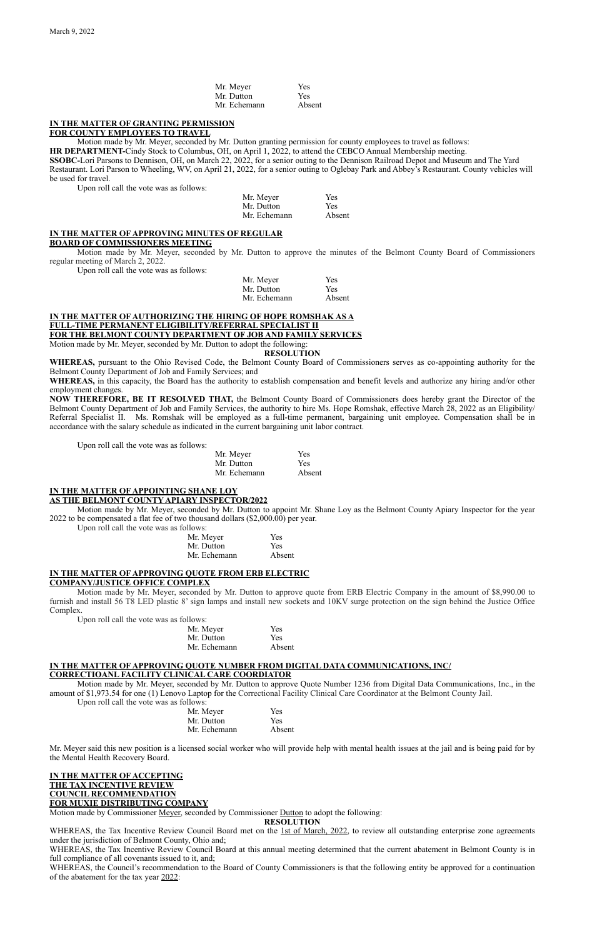| Mr. Meyer    | Yes        |
|--------------|------------|
| Mr. Dutton   | <b>Yes</b> |
| Mr. Echemann | Absent     |

# **IN THE MATTER OF GRANTING PERMISSION**

#### **FOR COUNTY EMPLOYEES TO TRAVEL**

Motion made by Mr. Meyer, seconded by Mr. Dutton granting permission for county employees to travel as follows: **HR DEPARTMENT-**Cindy Stock to Columbus, OH, on April 1, 2022, to attend the CEBCO Annual Membership meeting. **SSOBC-**Lori Parsons to Dennison, OH, on March 22, 2022, for a senior outing to the Dennison Railroad Depot and Museum and The Yard Restaurant. Lori Parson to Wheeling, WV, on April 21, 2022, for a senior outing to Oglebay Park and Abbey's Restaurant. County vehicles will be used for travel.

Upon roll call the vote was as follows:

| Mr. Meyer    | <b>Yes</b> |
|--------------|------------|
| Mr. Dutton   | <b>Yes</b> |
| Mr. Echemann | Absent     |

# **IN THE MATTER OF APPROVING MINUTES OF REGULAR**

#### **BOARD OF COMMISSIONERS MEETING**

Motion made by Mr. Meyer, seconded by Mr. Dutton to approve the minutes of the Belmont County Board of Commissioners regular meeting of March 2, 2022.

Upon roll call the vote was as follows:

| Mr. Meyer    | <b>Yes</b> |
|--------------|------------|
| Mr. Dutton   | <b>Yes</b> |
| Mr. Echemann | Absent     |

## **IN THE MATTER OF AUTHORIZING THE HIRING OF HOPE ROMSHAK AS A FULL-TIME PERMANENT ELIGIBILITY/REFERRAL SPECIALIST II FOR THE BELMONT COUNTY DEPARTMENT OF JOB AND FAMILY SERVICES**

Motion made by Mr. Meyer, seconded by Mr. Dutton to adopt the following:

**RESOLUTION**

**WHEREAS,** pursuant to the Ohio Revised Code, the Belmont County Board of Commissioners serves as co-appointing authority for the Belmont County Department of Job and Family Services; and

**WHEREAS,** in this capacity, the Board has the authority to establish compensation and benefit levels and authorize any hiring and/or other employment changes.

**NOW THEREFORE, BE IT RESOLVED THAT,** the Belmont County Board of Commissioners does hereby grant the Director of the Belmont County Department of Job and Family Services, the authority to hire Ms. Hope Romshak, effective March 28, 2022 as an Eligibility/ Referral Specialist II. Ms. Romshak will be employed as a full-time permanent, bargaining unit employee. Compensation shall be in accordance with the salary schedule as indicated in the current bargaining unit labor contract.

WHEREAS, the Tax Incentive Review Council Board met on the 1st of March, 2022, to review all outstanding enterprise zone agreements under the jurisdiction of Belmont County, Ohio and;

Upon roll call the vote was as follows:

| Mr. Meyer    | Yes    |
|--------------|--------|
| Mr. Dutton   | Yes    |
| Mr. Echemann | Absent |

#### **IN THE MATTER OF APPOINTING SHANE LOY AS THE BELMONT COUNTY APIARY INSPECTOR/2022**

Motion made by Mr. Meyer, seconded by Mr. Dutton to appoint Mr. Shane Loy as the Belmont County Apiary Inspector for the year 2022 to be compensated a flat fee of two thousand dollars (\$2,000.00) per year.

Upon roll call the vote was as follows:

| <b>Yes</b> |
|------------|
| <b>Yes</b> |
| Absent     |
|            |

## **IN THE MATTER OF APPROVING QUOTE FROM ERB ELECTRIC COMPANY/JUSTICE OFFICE COMPLEX**

Motion made by Mr. Meyer, seconded by Mr. Dutton to approve quote from ERB Electric Company in the amount of \$8,990.00 to furnish and install 56 T8 LED plastic 8' sign lamps and install new sockets and 10KV surge protection on the sign behind the Justice Office Complex.

Upon roll call the vote was as follows:

| LLU VV 13.   |            |
|--------------|------------|
| Mr. Meyer    | <b>Yes</b> |
| Mr. Dutton   | <b>Yes</b> |
| Mr. Echemann | Absent     |

#### **IN THE MATTER OF APPROVING QUOTE NUMBER FROM DIGITAL DATA COMMUNICATIONS, INC/**

## **CORRECTIOANL FACILITY CLINICAL CARE COORDIATOR**

Motion made by Mr. Meyer, seconded by Mr. Dutton to approve Quote Number 1236 from Digital Data Communications, Inc., in the

amount of \$1,973.54 for one (1) Lenovo Laptop for the Correctional Facility Clinical Care Coordinator at the Belmont County Jail. Upon roll call the vote was as follows:

> Mr. Meyer Yes Mr. Dutton Yes Mr. Echemann Absent

Mr. Meyer said this new position is a licensed social worker who will provide help with mental health issues at the jail and is being paid for by the Mental Health Recovery Board.

### **IN THE MATTER OF ACCEPTING THE TAX INCENTIVE REVIEW COUNCIL RECOMMENDATION FOR MUXIE DISTRIBUTING COMPANY**

Motion made by Commissioner <u>Meyer</u>, seconded by Commissioner Dutton to adopt the following:

## **RESOLUTION**

WHEREAS, the Tax Incentive Review Council Board at this annual meeting determined that the current abatement in Belmont County is in full compliance of all covenants issued to it, and;

WHEREAS, the Council's recommendation to the Board of County Commissioners is that the following entity be approved for a continuation of the abatement for the tax year 2022: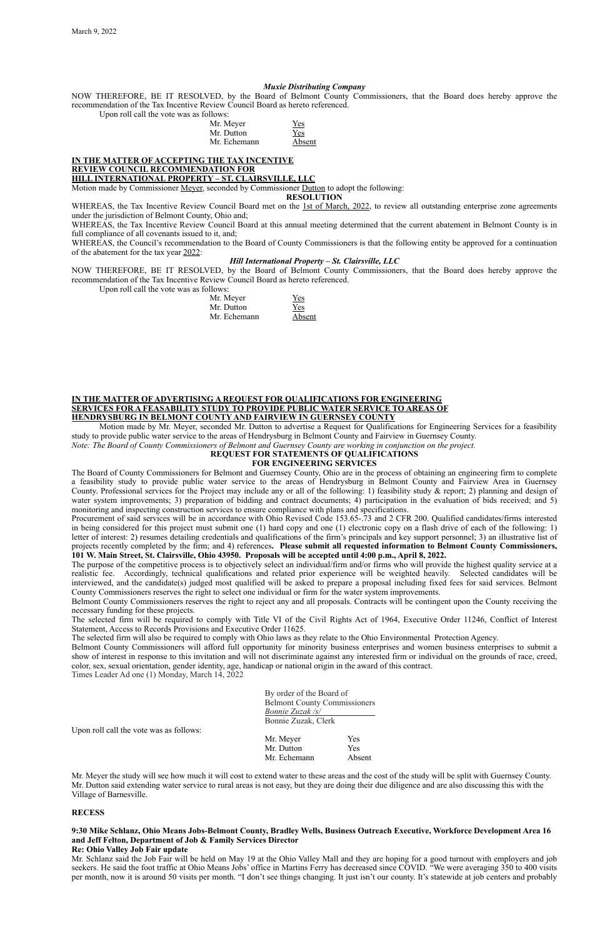### *Muxie Distributing Company*

NOW THEREFORE, BE IT RESOLVED, by the Board of Belmont County Commissioners, that the Board does hereby approve the recommendation of the Tax Incentive Review Council Board as hereto referenced.

Upon roll call the vote was as follows:

| Mr. Meyer    | Yes    |
|--------------|--------|
| Mr. Dutton   | Yes    |
| Mr. Echemann | Absent |

# **IN THE MATTER OF ACCEPTING THE TAX INCENTIVE**

WHEREAS, the Tax Incentive Review Council Board met on the 1st of March, 2022, to review all outstanding enterprise zone agreements under the jurisdiction of Belmont County, Ohio and;

# **REVIEW COUNCIL RECOMMENDATION FOR**

**HILL INTERNATIONAL PROPERTY – ST. CLAIRSVILLE, LLC**

Motion made by Commissioner Meyer, seconded by Commissioner Dutton to adopt the following:

## **RESOLUTION**

WHEREAS, the Tax Incentive Review Council Board at this annual meeting determined that the current abatement in Belmont County is in full compliance of all covenants issued to it, and;

WHEREAS, the Council's recommendation to the Board of County Commissioners is that the following entity be approved for a continuation of the abatement for the tax year 2022:

#### *Hill International Property – St. Clairsville, LLC*

NOW THEREFORE, BE IT RESOLVED, by the Board of Belmont County Commissioners, that the Board does hereby approve the recommendation of the Tax Incentive Review Council Board as hereto referenced.

Upon roll call the vote was as follows:

| Mr. Meyer    | Yes    |
|--------------|--------|
| Mr. Dutton   | Yes    |
| Mr. Echemann | Absent |

#### **IN THE MATTER OF ADVERTISING A REQUEST FOR QUALIFICATIONS FOR ENGINEERING SERVICES FOR A FEASABILITY STUDY TO PROVIDE PUBLIC WATER SERVICE TO AREAS OF HENDRYSBURG IN BELMONT COUNTY AND FAIRVIEW IN GUERNSEY COUNTY**

Motion made by Mr. Meyer, seconded Mr. Dutton to advertise a Request for Qualifications for Engineering Services for a feasibility study to provide public water service to the areas of Hendrysburg in Belmont County and Fairview in Guernsey County.

*Note: The Board of County Commissioners of Belmont and Guernsey County are working in conjunction on the project.*

#### **REQUEST FOR STATEMENTS OF QUALIFICATIONS FOR ENGINEERING SERVICES**

The Board of County Commissioners for Belmont and Guernsey County, Ohio are in the process of obtaining an engineering firm to complete a feasibility study to provide public water service to the areas of Hendrysburg in Belmont County and Fairview Area in Guernsey County. Professional services for the Project may include any or all of the following: 1) feasibility study & report; 2) planning and design of water system improvements; 3) preparation of bidding and contract documents; 4) participation in the evaluation of bids received; and 5) monitoring and inspecting construction services to ensure compliance with plans and specifications.

Procurement of said services will be in accordance with Ohio Revised Code 153.65-.73 and 2 CFR 200. Qualified candidates/firms interested in being considered for this project must submit one (1) hard copy and one (1) electronic copy on a flash drive of each of the following: 1) letter of interest: 2) resumes detailing credentials and qualifications of the firm's principals and key support personnel; 3) an illustrative list of projects recently completed by the firm; and 4) references**. Please submit all requested information to Belmont County Commissioners, 101 W. Main Street, St. Clairsville, Ohio 43950. Proposals will be accepted until 4:00 p.m., April 8, 2022.**

The purpose of the competitive process is to objectively select an individual/firm and/or firms who will provide the highest quality service at a realistic fee. Accordingly, technical qualifications and related prior experience will be weighted heavily. Selected candidates will be interviewed, and the candidate(s) judged most qualified will be asked to prepare a proposal including fixed fees for said services. Belmont County Commissioners reserves the right to select one individual or firm for the water system improvements.

Belmont County Commissioners reserves the right to reject any and all proposals. Contracts will be contingent upon the County receiving the necessary funding for these projects.

The selected firm will be required to comply with Title VI of the Civil Rights Act of 1964, Executive Order 11246, Conflict of Interest Statement, Access to Records Provisions and Executive Order 11625.

The selected firm will also be required to comply with Ohio laws as they relate to the Ohio Environmental Protection Agency.

Belmont County Commissioners will afford full opportunity for minority business enterprises and women business enterprises to submit a show of interest in response to this invitation and will not discriminate against any interested firm or individual on the grounds of race, creed, color, sex, sexual orientation, gender identity, age, handicap or national origin in the award of this contract.

Times Leader Ad one (1) Monday, March 14, 2022

By order of the Board of Belmont County Commissioners *Bonnie Zuzak /s/* Bonnie Zuzak, Clerk

Upon roll call the vote was as follows:

| Mr. Meyer    | <b>Yes</b> |
|--------------|------------|
| Mr. Dutton   | Yes        |
| Mr. Echemann | Absent     |

Mr. Meyer the study will see how much it will cost to extend water to these areas and the cost of the study will be split with Guernsey County. Mr. Dutton said extending water service to rural areas is not easy, but they are doing their due diligence and are also discussing this with the Village of Barnesville.

#### **RECESS**

**9:30 Mike Schlanz, Ohio Means Jobs-Belmont County, Bradley Wells, Business Outreach Executive, Workforce Development Area 16 and Jeff Felton, Department of Job & Family Services Director** 

#### **Re: Ohio Valley Job Fair update**

Mr. Schlanz said the Job Fair will be held on May 19 at the Ohio Valley Mall and they are hoping for a good turnout with employers and job seekers. He said the foot traffic at Ohio Means Jobs' office in Martins Ferry has decreased since COVID. "We were averaging 350 to 400 visits per month, now it is around 50 visits per month. "I don't see things changing. It just isn't our county. It's statewide at job centers and probably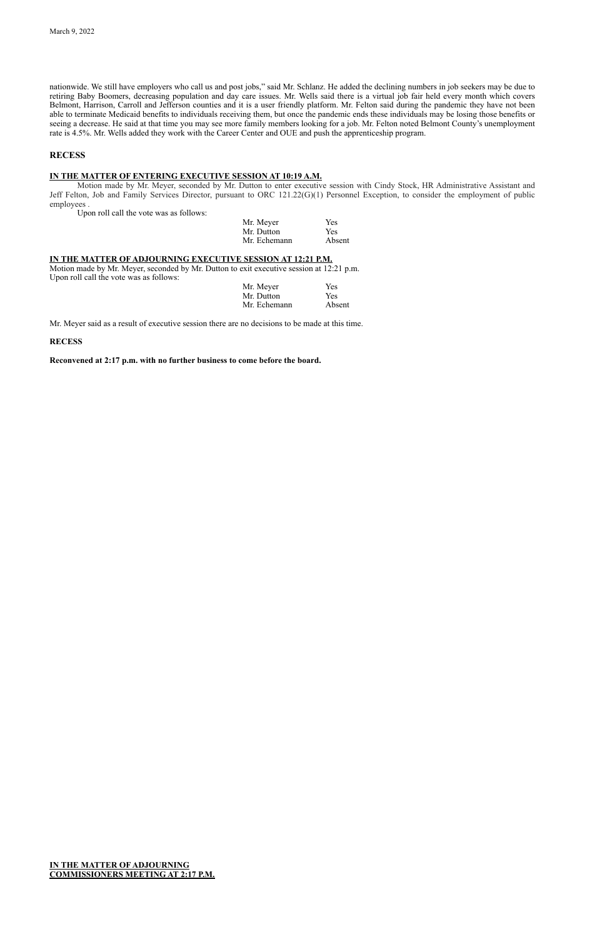nationwide. We still have employers who call us and post jobs," said Mr. Schlanz. He added the declining numbers in job seekers may be due to retiring Baby Boomers, decreasing population and day care issues. Mr. Wells said there is a virtual job fair held every month which covers Belmont, Harrison, Carroll and Jefferson counties and it is a user friendly platform. Mr. Felton said during the pandemic they have not been able to terminate Medicaid benefits to individuals receiving them, but once the pandemic ends these individuals may be losing those benefits or seeing a decrease. He said at that time you may see more family members looking for a job. Mr. Felton noted Belmont County's unemployment rate is 4.5%. Mr. Wells added they work with the Career Center and OUE and push the apprenticeship program.

## **RECESS**

## **IN THE MATTER OF ENTERING EXECUTIVE SESSION AT 10:19 A.M.**

Motion made by Mr. Meyer, seconded by Mr. Dutton to enter executive session with Cindy Stock, HR Administrative Assistant and Jeff Felton, Job and Family Services Director, pursuant to ORC 121.22(G)(1) Personnel Exception, to consider the employment of public employees .

Upon roll call the vote was as follows:

| Mr. Meyer    | Yes        |
|--------------|------------|
| Mr. Dutton   | <b>Yes</b> |
| Mr. Echemann | Absent     |

### **IN THE MATTER OF ADJOURNING EXECUTIVE SESSION AT 12:21 P.M.**

Motion made by Mr. Meyer, seconded by Mr. Dutton to exit executive session at 12:21 p.m. Upon roll call the vote was as follows:

| Mr. Meyer    | <b>Yes</b> |
|--------------|------------|
| Mr. Dutton   | <b>Yes</b> |
| Mr. Echemann | Absent     |

Mr. Meyer said as a result of executive session there are no decisions to be made at this time.

**RECESS**

**Reconvened at 2:17 p.m. with no further business to come before the board.**

### **IN THE MATTER OF ADJOURNING COMMISSIONERS MEETING AT 2:17 P.M.**